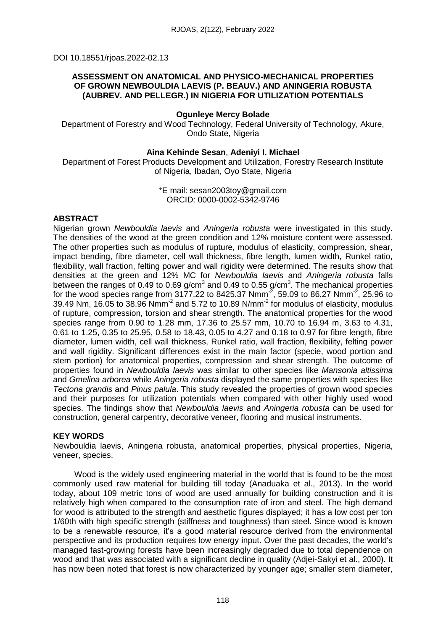DOI 10.18551/rjoas.2022-02.13

## **ASSESSMENT ON ANATOMICAL AND PHYSICO-MECHANICAL PROPERTIES OF GROWN NEWBOULDIA LAEVIS (P. BEAUV.) AND ANINGERIA ROBUSTA (AUBREV. AND PELLEGR.) IN NIGERIA FOR UTILIZATION POTENTIALS**

## **Ogunleye Mercy Bolade**

Department of Forestry and Wood Technology, Federal University of Technology, Akure, Ondo State, Nigeria

### **Aina Kehinde Sesan**, **Adeniyi I. Michael**

Department of Forest Products Development and Utilization, Forestry Research Institute of Nigeria, Ibadan, Oyo State, Nigeria

## \*E mail: sesan2003toy@gmail.com ORCID: 0000-0002-5342-9746

## **ABSTRACT**

Nigerian grown *Newbouldia laevis* and *Aningeria robusta* were investigated in this study. The densities of the wood at the green condition and 12% moisture content were assessed. The other properties such as modulus of rupture, modulus of elasticity, compression, shear, impact bending, fibre diameter, cell wall thickness, fibre length, lumen width, Runkel ratio, flexibility, wall fraction, felting power and wall rigidity were determined. The results show that densities at the green and 12% MC for *Newbouldia laevis* and *Aningeria robusta* falls between the ranges of 0.49 to 0.69 g/cm<sup>3</sup> and 0.49 to 0.55 g/cm<sup>3</sup>. The mechanical properties for the wood species range from 3177.22 to 8425.37 Nmm<sup>-2</sup>, 59.09 to 86.27 Nmm<sup>-2</sup>, 25.96 to 39.49 Nm, 16.05 to 38.96 Nmm<sup>-2</sup> and 5.72 to 10.89 N/mm<sup>-2</sup> for modulus of elasticity, modulus of rupture, compression, torsion and shear strength. The anatomical properties for the wood species range from 0.90 to 1.28 mm, 17.36 to 25.57 mm, 10.70 to 16.94 m, 3.63 to 4.31, 0.61 to 1.25, 0.35 to 25.95, 0.58 to 18.43, 0.05 to 4.27 and 0.18 to 0.97 for fibre length, fibre diameter, lumen width, cell wall thickness, Runkel ratio, wall fraction, flexibility, felting power and wall rigidity. Significant differences exist in the main factor (specie, wood portion and stem portion) for anatomical properties, compression and shear strength. The outcome of properties found in *Newbouldia laevis* was similar to other species like *Mansonia altissima* and *Gmelina arborea* while *Aningeria robusta* displayed the same properties with species like *Tectona grandis* and *Pinus palula*. This study revealed the properties of grown wood species and their purposes for utilization potentials when compared with other highly used wood species. The findings show that *Newbouldia laevis* and *Aningeria robusta* can be used for construction, general carpentry, decorative veneer, flooring and musical instruments.

## **KEY WORDS**

Newbouldia laevis, Aningeria robusta, anatomical properties, physical properties, Nigeria, veneer, species.

Wood is the widely used engineering material in the world that is found to be the most commonly used raw material for building till today (Anaduaka et al., 2013). In the world today, about 109 metric tons of wood are used annually for building construction and it is relatively high when compared to the consumption rate of iron and steel. The high demand for wood is attributed to the strength and aesthetic figures displayed; it has a low cost per ton 1/60th with high specific strength (stiffness and toughness) than steel. Since wood is known to be a renewable resource, it's a good material resource derived from the environmental perspective and its production requires low energy input. Over the past decades, the world's managed fast-growing forests have been increasingly degraded due to total dependence on wood and that was associated with a significant decline in quality (Adjei-Sakyi et al., 2000). It has now been noted that forest is now characterized by younger age; smaller stem diameter,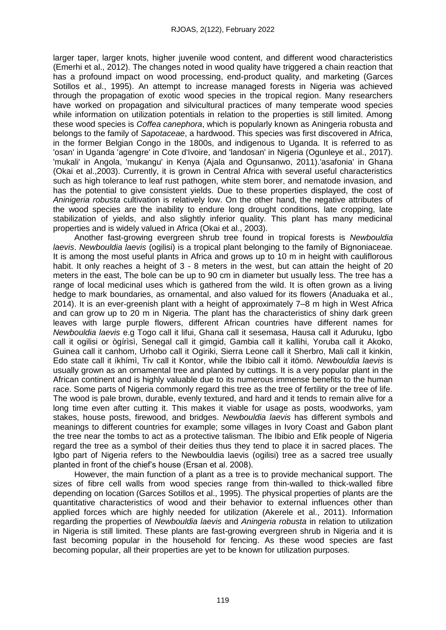larger taper, larger knots, higher juvenile wood content, and different wood characteristics (Emerhi et al., 2012). The changes noted in wood quality have triggered a chain reaction that has a profound impact on wood processing, end-product quality, and marketing (Garces Sotillos et al., 1995). An attempt to increase managed forests in Nigeria was achieved through the propagation of exotic wood species in the tropical region. Many researchers have worked on propagation and silvicultural practices of many temperate wood species while information on utilization potentials in relation to the properties is still limited. Among these wood species is *Coffea canephora*, which is popularly known as Aningeria robusta and belongs to the family of *Sapotaceae*, a hardwood. This species was first discovered in Africa, in the former Belgian Congo in the 1800s, and indigenous to Uganda. It is referred to as 'osan' in Uganda 'agengre' in Cote d'Ivoire, and 'landosan' in Nigeria (Ogunleye et al., 2017). 'mukali' in Angola, 'mukangu' in Kenya (Ajala and Ogunsanwo, 2011).'asafonia' in Ghana (Okai et al.,2003). Currently, it is grown in Central Africa with several useful characteristics such as high tolerance to leaf rust pathogen, white stem borer, and nematode invasion, and has the potential to give consistent yields. Due to these properties displayed, the cost of *Aninigeria robusta* cultivation is relatively low. On the other hand, the negative attributes of the wood species are the inability to endure long drought conditions, late cropping, late stabilization of yields, and also slightly inferior quality. This plant has many medicinal properties and is widely valued in Africa (Okai et al., 2003).

Another fast-growing evergreen shrub tree found in tropical forests is *Newbouldia laevis*. *Newbouldia laevis* (ogilisi) is a tropical plant belonging to the family of Bignoniaceae. It is among the most useful plants in Africa and grows up to 10 m in height with cauliflorous habit. It only reaches a height of 3 - 8 meters in the west, but can attain the height of 20 meters in the east, The bole can be up to 90 cm in diameter but usually less. The tree has a range of local medicinal uses which is gathered from the wild. It is often grown as a living hedge to mark boundaries, as ornamental, and also valued for its flowers (Anaduaka et al., 2014). It is an ever-greenish plant with a height of approximately 7–8 m high in West Africa and can grow up to 20 m in Nigeria. The plant has the characteristics of shiny dark green leaves with large purple flowers, different African countries have different names for *Newbouldia laevis* e.g Togo call it lifui, Ghana call it sesemasa, Hausa call it Aduruku, Igbo call it ogilisi or ògírìsì, Senegal call it gimgid, Gambia call it kallihi, Yoruba call it Akoko, Guinea call it canhom, Urhobo call it Ogiriki, Sierra Leone call it Sherbro, Mali call it kinkin, Edo state call it íkhímì, Tiv call it Kontor, while the Ibibio call it itömö. *Newbouldia laevis* is usually grown as an ornamental tree and planted by cuttings. It is a very popular plant in the African continent and is highly valuable due to its numerous immense benefits to the human race. Some parts of Nigeria commonly regard this tree as the tree of fertility or the tree of life. The wood is pale brown, durable, evenly textured, and hard and it tends to remain alive for a long time even after cutting it. This makes it viable for usage as posts, woodworks, yam stakes, house posts, firewood, and bridges. *Newbouldia laevis* has different symbols and meanings to different countries for example; some villages in Ivory Coast and Gabon plant the tree near the tombs to act as a protective talisman. The Ibibio and Efik people of Nigeria regard the tree as a symbol of their deities thus they tend to place it in sacred places. The Igbo part of Nigeria refers to the Newbouldia laevis (ogilisi) tree as a sacred tree usually planted in front of the chief's house (Ersan et al. 2008).

However, the main function of a plant as a tree is to provide mechanical support. The sizes of fibre cell walls from wood species range from thin-walled to thick-walled fibre depending on location (Garces Sotillos et al., 1995). The physical properties of plants are the quantitative characteristics of wood and their behavior to external influences other than applied forces which are highly needed for utilization (Akerele et al., 2011). Information regarding the properties of *Newbouldia laevis* and *Aningeria robusta* in relation to utilization in Nigeria is still limited. These plants are fast-growing evergreen shrub in Nigeria and it is fast becoming popular in the household for fencing. As these wood species are fast becoming popular, all their properties are yet to be known for utilization purposes.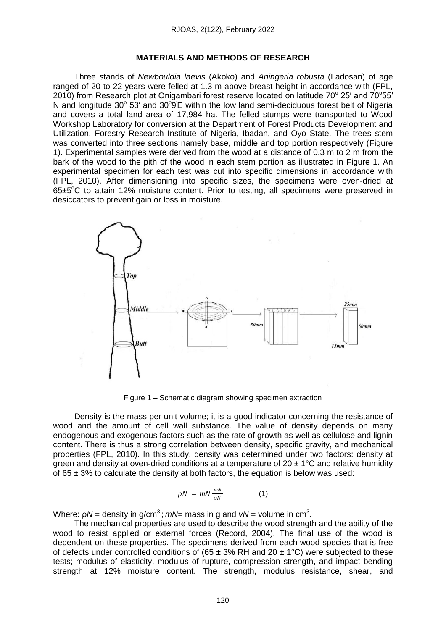#### **MATERIALS AND METHODS OF RESEARCH**

Three stands of *Newbouldia laevis* (Akoko) and *Aningeria robusta* (Ladosan) of age ranged of 20 to 22 years were felled at 1.3 m above breast height in accordance with (FPL, 2010) from Research plot at Onigambari forest reserve located on latitude  $70^{\circ}$  25' and  $70^{\circ}$ 55' N and longitude  $30^{\circ}$  53' and  $30^{\circ}$ 9<sup>'</sup>E within the low land semi-deciduous forest belt of Nigeria and covers a total land area of 17,984 ha. The felled stumps were transported to Wood Workshop Laboratory for conversion at the Department of Forest Products Development and Utilization, Forestry Research Institute of Nigeria, Ibadan, and Oyo State. The trees stem was converted into three sections namely base, middle and top portion respectively (Figure 1). Experimental samples were derived from the wood at a distance of 0.3 m to 2 m from the bark of the wood to the pith of the wood in each stem portion as illustrated in Figure 1. An experimental specimen for each test was cut into specific dimensions in accordance with (FPL, 2010). After dimensioning into specific sizes, the specimens were oven-dried at  $65±5^{\circ}$ C to attain 12% moisture content. Prior to testing, all specimens were preserved in desiccators to prevent gain or loss in moisture.



Figure 1 – Schematic diagram showing specimen extraction

Density is the mass per unit volume; it is a good indicator concerning the resistance of wood and the amount of cell wall substance. The value of density depends on many endogenous and exogenous factors such as the rate of growth as well as cellulose and lignin content. There is thus a strong correlation between density, specific gravity, and mechanical properties (FPL, 2010). In this study, density was determined under two factors: density at green and density at oven-dried conditions at a temperature of  $20 \pm 1^{\circ}$ C and relative humidity of  $65 \pm 3\%$  to calculate the density at both factors, the equation is below was used:

$$
\rho N = mN \frac{mN}{vN} \tag{1}
$$

Where:  $\rho N$  = density in g/cm $^3$  ;  $m$ N= mass in g and *vN* = volume in cm $^3$ .

The mechanical properties are used to describe the wood strength and the ability of the wood to resist applied or external forces (Record, 2004). The final use of the wood is dependent on these properties. The specimens derived from each wood species that is free of defects under controlled conditions of (65  $\pm$  3% RH and 20  $\pm$  1°C) were subjected to these tests; modulus of elasticity, modulus of rupture, compression strength, and impact bending strength at 12% moisture content. The strength, modulus resistance, shear, and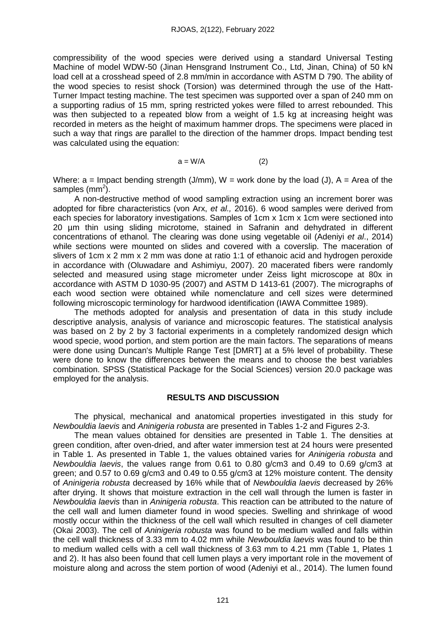compressibility of the wood species were derived using a standard Universal Testing Machine of model WDW-50 (Jinan Hensgrand Instrument Co., Ltd, Jinan, China) of 50 kN load cell at a crosshead speed of 2.8 mm/min in accordance with ASTM D 790. The ability of the wood species to resist shock (Torsion) was determined through the use of the Hatt-Turner Impact testing machine. The test specimen was supported over a span of 240 mm on a supporting radius of 15 mm, spring restricted yokes were filled to arrest rebounded. This was then subjected to a repeated blow from a weight of 1.5 kg at increasing height was recorded in meters as the height of maximum hammer drops. The specimens were placed in such a way that rings are parallel to the direction of the hammer drops. Impact bending test was calculated using the equation:

$$
a = W/A \tag{2}
$$

Where:  $a =$  Impact bending strength (J/mm),  $W =$  work done by the load (J),  $A =$  Area of the samples (mm<sup>2</sup>).

A non-destructive method of wood sampling extraction using an increment borer was adopted for fibre characteristics (von Arx, *et al.,* 2016). 6 wood samples were derived from each species for laboratory investigations. Samples of 1cm x 1cm x 1cm were sectioned into 20 µm thin using sliding microtome, stained in Safranin and dehydrated in different concentrations of ethanol. The clearing was done using vegetable oil (Adeniyi *et al*., 2014) while sections were mounted on slides and covered with a coverslip. The maceration of slivers of 1cm x 2 mm x 2 mm was done at ratio 1:1 of ethanoic acid and hydrogen peroxide in accordance with (Oluwadare and Ashimiyu, 2007). 20 macerated fibers were randomly selected and measured using stage micrometer under Zeiss light microscope at 80x in accordance with ASTM D 1030-95 (2007) and ASTM D 1413-61 (2007). The micrographs of each wood section were obtained while nomenclature and cell sizes were determined following microscopic terminology for hardwood identification (IAWA Committee 1989).

The methods adopted for analysis and presentation of data in this study include descriptive analysis, analysis of variance and microscopic features. The statistical analysis was based on 2 by 2 by 3 factorial experiments in a completely randomized design which wood specie, wood portion, and stem portion are the main factors. The separations of means were done using Duncan's Multiple Range Test [DMRT] at a 5% level of probability. These were done to know the differences between the means and to choose the best variables combination. SPSS (Statistical Package for the Social Sciences) version 20.0 package was employed for the analysis.

#### **RESULTS AND DISCUSSION**

The physical, mechanical and anatomical properties investigated in this study for *Newbouldia laevis* and *Aninigeria robusta* are presented in Tables 1-2 and Figures 2-3.

The mean values obtained for densities are presented in Table 1. The densities at green condition, after oven-dried, and after water immersion test at 24 hours were presented in Table 1. As presented in Table 1, the values obtained varies for *Aninigeria robusta* and *Newbouldia laevis*, the values range from 0.61 to 0.80 g/cm3 and 0.49 to 0.69 g/cm3 at green; and 0.57 to 0.69 g/cm3 and 0.49 to 0.55 g/cm3 at 12% moisture content. The density of *Aninigeria robusta* decreased by 16% while that of *Newbouldia laevis* decreased by 26% after drying. It shows that moisture extraction in the cell wall through the lumen is faster in *Newbouldia laevis* than in *Aninigeria robusta*. This reaction can be attributed to the nature of the cell wall and lumen diameter found in wood species. Swelling and shrinkage of wood mostly occur within the thickness of the cell wall which resulted in changes of cell diameter (Okai 2003). The cell of *Aninigeria robusta* was found to be medium walled and falls within the cell wall thickness of 3.33 mm to 4.02 mm while *Newbouldia laevis* was found to be thin to medium walled cells with a cell wall thickness of 3.63 mm to 4.21 mm (Table 1, Plates 1 and 2). It has also been found that cell lumen plays a very important role in the movement of moisture along and across the stem portion of wood (Adeniyi et al., 2014). The lumen found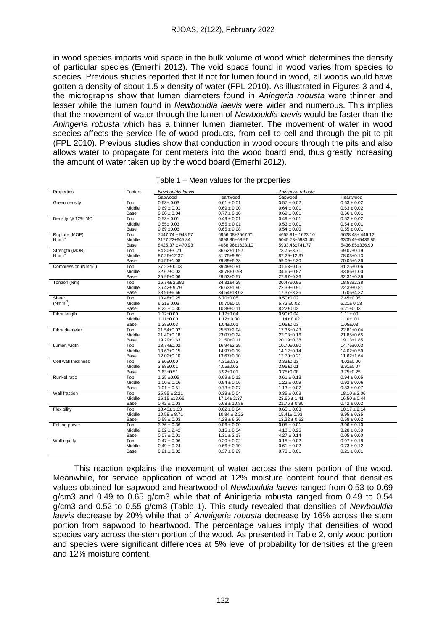in wood species imparts void space in the bulk volume of wood which determines the density of particular species (Emerhi 2012). The void space found in wood varies from species to species. Previous studies reported that If not for lumen found in wood, all woods would have gotten a density of about 1.5 x density of water (FPL 2010). As illustrated in Figures 3 and 4, the micrographs show that lumen diameters found in *Aningeria robusta* were thinner and lesser while the lumen found in *Newbouldia laevis* were wider and numerous. This implies that the movement of water through the lumen of *Newbouldia laevis* would be faster than the *Aningeria robusta* which has a thinner lumen diameter. The movement of water in wood species affects the service life of wood products, from cell to cell and through the pit to pit (FPL 2010). Previous studies show that conduction in wood occurs through the pits and also allows water to propagate for centimeters into the wood board end, thus greatly increasing the amount of water taken up by the wood board (Emerhi 2012).

| Properties                       | Factors | Newbouldia laevis |                  | Aninigeria robusta |                  |  |  |
|----------------------------------|---------|-------------------|------------------|--------------------|------------------|--|--|
|                                  |         | Sapwood           | Heartwood        | Sapwood            | Heartwood        |  |  |
| Green density                    | Top     | $0.63 \pm 0.03$   | $0.61 \pm 0.01$  | $0.57 \pm 0.02$    | $0.63 \pm 0.02$  |  |  |
|                                  | Middle  | $0.69 \pm 0.01$   | $0.69 \pm 0.00$  | $0.64 \pm 0.01$    | $0.63 \pm 0.02$  |  |  |
|                                  | Base    | $0.80 \pm 0.04$   | $0.77 \pm 0.10$  | $0.69 \pm 0.01$    | $0.66 \pm 0.01$  |  |  |
| Density @ 12% MC                 | Top     | $0.53 + 0.01$     | $0.49 \pm 0.01$  | $0.49 \pm 0.01$    | $0.52 \pm 0.02$  |  |  |
|                                  | Middle  | $0.55 \pm 0.03$   | $0.55 \pm 0.01$  | $0.53 \pm 0.01$    | $0.54 \pm 0.01$  |  |  |
|                                  | Base    | $0.69 + 0.06$     | $0.65 \pm 0.08$  | $0.54 \pm 0.00$    | $0.55 \pm 0.01$  |  |  |
| Rupture (MOE)                    | Top     | 7447.74 ± 948.57  | 6956.08±2567.71  | 4652.91± 1623.10   | 5628.48±446.12   |  |  |
| $Nmm^{-2}$                       | Middle  | 3177.22±645.84    | 5898.86±68.96    | 5045.73±5933.46    | 6305.49±5436.85  |  |  |
|                                  | Base    | 8425.37 ± 470.93  | 4068.96±1623.10  | 5933.46±741.77     | 5436.85±336.90   |  |  |
| Strength (MOR)                   | Top     | 84.80±3.,71       | 86.62±10.97      | 73.75±3.71         | 69.07±0.19       |  |  |
| Nmm <sup>-</sup>                 | Middle  | 87.26±12.37       | 81.75±9.90       | 87.29±12.37        | 78.03±0.13       |  |  |
|                                  | Base    | 64.56±1.08        | 79.89±6.33       | 59.09±2.20         | 70.05±6.36       |  |  |
| Compression (Nmm <sup>-2</sup> ) | Top     | $37.23 \pm 0.03$  | 39.49±0.91       | 31.63±0.05         | 31.25±0.06       |  |  |
|                                  | Middle  | 32.67±0.03        | $38.78 \pm 0.93$ | 34.66±0.87         | 33.86±1.00       |  |  |
|                                  | Base    | 25.96±0.06        | 29.53±0.57       | 27.97±0.26         | 32.31±0.36       |  |  |
| Torsion (Nm)                     | Top     | $16.74 \pm 2.382$ | 24.31±4.29       | 30.47±0.95         | 18.53±2.38       |  |  |
|                                  | Middle  | $36.42 \pm 9.79$  | 26.63±1.90       | 22.39±0.91         | 22.39±0.81       |  |  |
|                                  | Base    | 38.96±6.66        | 34.54±13.02      | 17.37±3.36         | 16.06±4.32       |  |  |
| Shear                            | Top     | 10.48±0.25        | $6.70 \pm 0.05$  | $9.50 \pm 0.02$    | $7.45 \pm 0.05$  |  |  |
| $(Nmm^{-2})$                     | Middle  | $6.21 \pm 0.03$   | 10.70±0.05       | $5.72 \pm 0.02$    | $6.21 \pm 0.03$  |  |  |
|                                  | Base    | $8.22 \pm 0.30$   | 10.89±0.11       | $8.22 \pm 0.02$    | $6.21 \pm 0.03$  |  |  |
| Fibre length                     | Top     | $1.12 \pm 0.00$   | $1.17 \pm 0.04$  | $0.90 \pm 0.04$    | $1.11 \pm 00$    |  |  |
|                                  | Middle  | $1.11 \pm 0.00$   | $1.12 \pm 0.00$  | $1.14 \pm 0.02$    | $1.10 + .01$     |  |  |
|                                  | Base    | $1.28 + 0.03$     | $1.04 \pm 0.01$  | $1.05 \pm 0.03$    | $1.05 + .03$     |  |  |
| Fibre diameter                   | Top     | 21.54±0.02        | 25.57±2.94       | 17.36±0.43         | 22.81±0.04       |  |  |
|                                  | Middle  | 21.40±0.18        | 23.07±0.24       | 22.03±0.16         | 21.85±0.65       |  |  |
|                                  | Base    | 19.29±1.63        | $21.50+0.11$     | 20.19±0.38         | 19.13±1.85       |  |  |
| Lumen width                      | Top     | 13.74±0.02        | 16.94±2.29       | 10.70±0.90         | 14.76±0.03       |  |  |
|                                  | Middle  | 13.63±0.15        | 14.97±0.19       | $14.12 \pm 0.14$   | 14.02±0.50       |  |  |
|                                  | Base    | 12.02±0.10        | 13.67±0.10       | 12.70±0.21         | 11.62±1.64       |  |  |
| Cell wall thickness              | Top     | $3.90 + 0.00$     | $4.31 \pm 0.32$  | $3.33 \pm 0.23$    | $4.02 \pm 0.00$  |  |  |
|                                  | Middle  | $3.88 + 0.01$     | $4.05 \pm 0.02$  | $3.95 \pm 0.01$    | $3.91 \pm 0.07$  |  |  |
|                                  | Base    | $3.63 \pm 0.51$   | $3.92 \pm 0.01$  | $3.75 \pm 0.08$    | $3.75 \pm 0.25$  |  |  |
| Runkel ratio                     | Top     | $1.25 \pm 0.05$   | $0.69 \pm 0.12$  | $0.61 \pm 0.13$    | $0.94 \pm 0.05$  |  |  |
|                                  | Middle  | $1.00 \pm 0.16$   | $0.94 \pm 0.06$  | $1.22 \pm 0.09$    | $0.92 \pm 0.06$  |  |  |
|                                  | Base    | $1.01 \pm 0.51$   | $0.73 \pm 0.07$  | $1.13 \pm 0.07$    | $0.83 \pm 0.07$  |  |  |
| Wall fraction                    | Top     | $25.95 \pm 2.21$  | $0.39 \pm 0.04$  | $0.35 \pm 0.03$    | $18.10 \pm 2.06$ |  |  |
|                                  | Middle  | $16.15 \pm 13.66$ | $17.14 \pm 2.37$ | $23.66 \pm 1.41$   | $16.50 \pm 0.44$ |  |  |
|                                  | Base    | $0.42 \pm 0.03$   | $6.68 \pm 10.88$ | $21.76 \pm 0.90$   | $0.42\pm0.02$    |  |  |
| Flexibility                      | Top     | $18.43 \pm 1.63$  | $0.62 \pm 0.04$  | $0.65 \pm 0.03$    | $10.17 \pm 2.14$ |  |  |
|                                  | Middle  | $10.58 \pm 8.71$  | $10.84 \pm 2.22$ | $15.41 \pm 0.93$   | $9.95 \pm 0.35$  |  |  |
|                                  | Base    | $0.59 \pm 0.03$   | $4.28 \pm 6.36$  | $13.22 \pm 0.62$   | $0.58 \pm 0.02$  |  |  |
| Felting power                    | Top     | $3.76 \pm 0.36$   | $0.06 \pm 0.00$  | $0.05 \pm 0.01$    | $3.96 \pm 0.10$  |  |  |
|                                  | Middle  | $2.82 \pm 2.42$   | $3.15 \pm 0.34$  | $4.13 \pm 0.26$    | $3.28 \pm 0.39$  |  |  |
|                                  | Base    | $0.07 \pm 0.01$   | $1.31 \pm 2.17$  | $4.27 \pm 0.14$    | $0.05 \pm 0.00$  |  |  |
| Wall rigidity                    | Top     | $0.47 \pm 0.06$   | $0.20 \pm 0.02$  | $0.18 \pm 0.02$    | $0.97 \pm 0.18$  |  |  |
|                                  | Middle  | $0.49 \pm 0.24$   | $0.66 \pm 0.10$  | $0.61 \pm 0.02$    | $0.73 \pm 0.12$  |  |  |
|                                  | Base    | $0.21 \pm 0.02$   | $0.37 \pm 0.29$  | $0.73 \pm 0.01$    | $0.21 \pm 0.01$  |  |  |

| Table 1 – Mean values for the properties |  |
|------------------------------------------|--|
|------------------------------------------|--|

This reaction explains the movement of water across the stem portion of the wood. Meanwhile, for service application of wood at 12% moisture content found that densities values obtained for sapwood and heartwood of *Newbouldia laevis* ranged from 0.53 to 0.69 g/cm3 and 0.49 to 0.65 g/cm3 while that of Aninigeria robusta ranged from 0.49 to 0.54 g/cm3 and 0.52 to 0.55 g/cm3 (Table 1). This study revealed that densities of *Newbouldia laevis* decrease by 20% while that of *Aninigeria robusta* decrease by 16% across the stem portion from sapwood to heartwood. The percentage values imply that densities of wood species vary across the stem portion of the wood. As presented in Table 2, only wood portion and species were significant differences at 5% level of probability for densities at the green and 12% moisture content.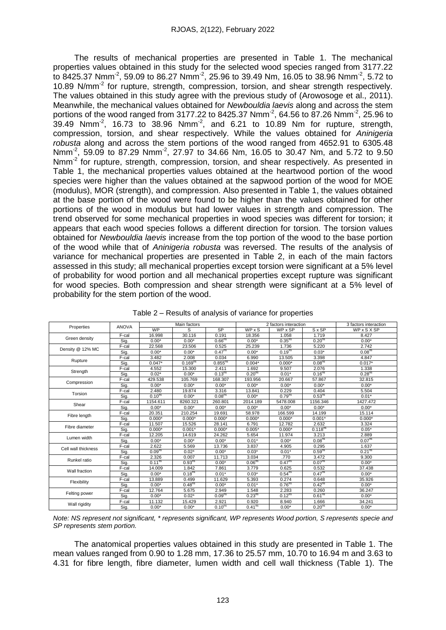The results of mechanical properties are presented in Table 1. The mechanical properties values obtained in this study for the selected wood species ranged from 3177.22 to 8425.37 Nmm<sup>-2</sup>, 59.09 to 86.27 Nmm<sup>-2</sup>, 25.96 to 39.49 Nm, 16.05 to 38.96 Nmm<sup>-2</sup>, 5.72 to 10.89 N/mm<sup>-2</sup> for rupture, strength, compression, torsion, and shear strength respectively. The values obtained in this study agree with the previous study of (Arowosoge et al., 2011). Meanwhile, the mechanical values obtained for *Newbouldia laevis* along and across the stem portions of the wood ranged from 3177.22 to 8425.37 Nmm<sup>-2</sup>, 64.56 to 87.26 Nmm<sup>-2</sup>, 25.96 to 39.49 Nmm<sup>-2</sup>, 16.73 to 38.96 Nmm<sup>-2</sup>, and 6.21 to 10.89 Nm for rupture, strength, compression, torsion, and shear respectively. While the values obtained for *Aninigeria robusta* along and across the stem portions of the wood ranged from 4652.91 to 6305.48 Nmm<sup>-2</sup>, 59.09 to 87.29 Nmm<sup>-2</sup>, 27.97 to 34.66 Nm, 16.05 to 30.47 Nm, and 5.72 to 9.50 Nmm<sup>-2</sup> for rupture, strength, compression, torsion, and shear respectively. As presented in Table 1, the mechanical properties values obtained at the heartwood portion of the wood species were higher than the values obtained at the sapwood portion of the wood for MOE (modulus), MOR (strength), and compression. Also presented in Table 1, the values obtained at the base portion of the wood were found to be higher than the values obtained for other portions of the wood in modulus but had lower values in strength and compression. The trend observed for some mechanical properties in wood species was different for torsion; it appears that each wood species follows a different direction for torsion. The torsion values obtained for *Newbouldia laevis* increase from the top portion of the wood to the base portion of the wood while that of *Aninigeria robusta* was reversed. The results of the analysis of variance for mechanical properties are presented in Table 2, in each of the main factors assessed in this study; all mechanical properties except torsion were significant at a 5% level of probability for wood portion and all mechanical properties except rupture was significant for wood species. Both compression and shear strength were significant at a 5% level of probability for the stem portion of the wood.

| Properties          | <b>ANOVA</b> | Main factors       |                     |                     | 2 factors interaction |                    |                     | 3 factors interaction |
|---------------------|--------------|--------------------|---------------------|---------------------|-----------------------|--------------------|---------------------|-----------------------|
|                     |              | <b>WP</b>          | S                   | <b>SP</b>           | WPXS                  | WP x SP            | $S \times SP$       | WPxSXSP               |
| Green density       | F-cal        | 16.998             | 30.116              | 0.191               | 18.356                | 1.058              | 1.719               | 8.427                 |
|                     | Sig.         | $0.00*$            | $0.00*$             | 0.66 <sup>ns</sup>  | $0.00*$               | 0.35 <sup>ns</sup> | 0.20 <sup>ns</sup>  | $0.00*$               |
| Density @ 12% MC    | $F$ -cal     | 22.568             | 23.506              | 0.525               | 25.239                | 1.736              | 5.220               | 2.742                 |
|                     | Sig.         | $0.00*$            | $0.00*$             | 0.47 <sup>ns</sup>  | $0.00*$               | 0.19 <sup>ns</sup> | $0.03*$             | 0.08 <sup>ns</sup>    |
| Rupture             | F-cal        | 3.482              | 2.008               | 0.034               | 6.990                 | 13.505             | 3.398               | 4.847                 |
|                     | Sig.         | $0.047*$           | 0.169 <sup>ns</sup> | 0.855 <sup>ns</sup> | $0.004*$              | $0.000*$           | 0.08 <sup>ns</sup>  | $0.017*$              |
|                     | F-cal        | 4.552              | 15.300              | 2.411               | 1.692                 | 9.507              | 2.076               | 1.338                 |
| Strength            | Sig.         | $0.02*$            | $0.00*$             | $0.13^{ns}$         | 0.20 <sup>ns</sup>    | $0.01*$            | 0.16 <sup>ns</sup>  | 0.28 <sup>ns</sup>    |
|                     | F-cal        | 429.538            | 105.769             | 168.307             | 193.956               | 20.667             | 57.867              | 32.815                |
| Compression         | Sig.         | $0.00*$            | $0.00*$             | $0.00*$             | $0.00*$               | $0.00*$            | $0.00*$             | $0.00*$               |
| Torsion             | F-cal        | 2.480              | 19.874              | 3.316               | 13.841                | 0.229              | 0.404               | 5.504                 |
|                     | Sig.         | 0.10 <sup>ns</sup> | $0.00*$             | 0.08 <sup>ns</sup>  | $0.00*$               | 0.79 <sup>ns</sup> | 0.53 <sup>ns</sup>  | $0.01*$               |
|                     | F-cal        | 1154.611           | 8260.321            | 260.801             | 2014.189              | 5478.008           | 1156.346            | 1427.472              |
| Shear               | Sig.         | $0.00*$            | $0.00*$             | $0.00*$             | $0.00*$               | $0.00*$            | $0.00*$             | $0.00*$               |
|                     | $F$ -cal     | 20.351             | 210.254             | 19.691              | 58.978                | 166.599            | 14.199              | 15.114                |
| Fibre length        | Sig.         | $0.000*$           | $0.000*$            | $0.000*$            | $0.000*$              | $0.000*$           | $0.001*$            | $0.000*$              |
| Fibre diameter      | $F$ -cal     | 11.507             | 15.526              | 28.141              | 6.791                 | 12.782             | 2.632               | 3.324                 |
|                     | Sig.         | $0.000*$           | $0.001*$            | $0.000*$            | $0.005*$              | $0.000*$           | 0.118 <sup>ns</sup> | $0.05*$               |
|                     | F-cal        | 12.205             | 14.619              | 24.262              | 5.654                 | 11.974             | 3.213               | 2.889                 |
| Lumen width         | Sig.         | $0.00*$            | $0.00*$             | $0.00*$             | $0.01*$               | $0.00*$            | 0.08 <sup>ns</sup>  | 0.07 <sup>ns</sup>    |
| Cell wall thickness | $F$ -cal     | 2.622              | 5.569               | 13.736              | 3.837                 | 4.905              | 0.295               | 1.637                 |
|                     | Sig.         | 0.09 <sup>ns</sup> | $0.02*$             | $0.00*$             | $0.03*$               | $0.01*$            | 0.59 <sup>ns</sup>  | 0.21 <sup>ns</sup>    |
| Runkel ratio        | F-cal        | 2.326              | 0.007               | 11.713              | 3.034                 | .770               | 3.472               | 9.300                 |
|                     | Sig.         | $0.11^{ns}$        | 0.93 <sup>ns</sup>  | $0.00*$             | 0.06 <sup>ns</sup>    | 0.47 <sup>ns</sup> | 0.07 <sup>ns</sup>  | $0.00*$               |
| Wall fraction       | F-cal        | 14.009             | 1.842               | 7.861               | 3.779                 | 0.625              | 0.532               | 37.438                |
|                     | Sig.         | $0.00*$            | 0.18 <sup>ns</sup>  | $0.01*$             | $0.03*$               | 0.54 <sup>ns</sup> | 0.47 <sup>ns</sup>  | $0.00*$               |
| Flexibility         | F-cal        | 13.889             | 0.499               | 11.629              | 5.393                 | 0.274              | 0.648               | 35.926                |
|                     | Sig.         | $0.00*$            | 0.48 <sup>ns</sup>  | $0.00*$             | $0.01*$               | 0.76 <sup>ns</sup> | 0.42 <sup>ns</sup>  | $0.00*$               |
| Felting power       | F-cal        | 12.764             | 5.675               | 2.949               | 1.548                 | 2.283              | 0.260               | 36.247                |
|                     | Sig.         | $0.00*$            | $0.02*$             | 0.09 <sup>ns</sup>  | 0.23 <sup>ns</sup>    | 0.12 <sup>ns</sup> | 0.61 <sup>ns</sup>  | $0.00*$               |
|                     | F-cal        | 11.132             | 15.429              | 2.921               | 0.920                 | 8.940              | 1.666               | 34.241                |
| Wall rigidity       | Sig.         | $0.00*$            | $0.00*$             | $0.10^{ns}$         | 0.41 <sup>ns</sup>    | $0.00*$            | 0.20 <sup>ns</sup>  | $0.00*$               |

Table 2 – Results of analysis of variance for properties

*Note: NS represent not significant, \* represents significant, WP represents Wood portion, S represents specie and SP represents stem portion.*

The anatomical properties values obtained in this study are presented in Table 1. The mean values ranged from 0.90 to 1.28 mm, 17.36 to 25.57 mm, 10.70 to 16.94 m and 3.63 to 4.31 for fibre length, fibre diameter, lumen width and cell wall thickness (Table 1). The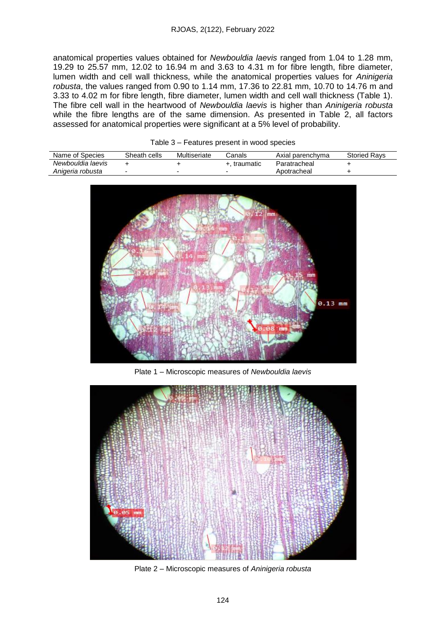anatomical properties values obtained for *Newbouldia laevis* ranged from 1.04 to 1.28 mm, 19.29 to 25.57 mm, 12.02 to 16.94 m and 3.63 to 4.31 m for fibre length, fibre diameter, lumen width and cell wall thickness, while the anatomical properties values for *Aninigeria robusta*, the values ranged from 0.90 to 1.14 mm, 17.36 to 22.81 mm, 10.70 to 14.76 m and 3.33 to 4.02 m for fibre length, fibre diameter, lumen width and cell wall thickness (Table 1). The fibre cell wall in the heartwood of *Newbouldia laevis* is higher than *Aninigeria robusta* while the fibre lengths are of the same dimension. As presented in Table 2, all factors assessed for anatomical properties were significant at a 5% level of probability.

| Name of Species   | Sheath cells | Multiseriate | Canals       | Axial parenchyma | <b>Storied Ravs</b> |
|-------------------|--------------|--------------|--------------|------------------|---------------------|
| Newbouldia laevis |              |              | +. traumatic | Paratracheal     |                     |
| Anigeria robusta  |              |              | -            | Apotracheal      |                     |

Table 3 – Features present in wood species



Plate 1 – Microscopic measures of *Newbouldia laevis*



Plate 2 – Microscopic measures of *Aninigeria robusta*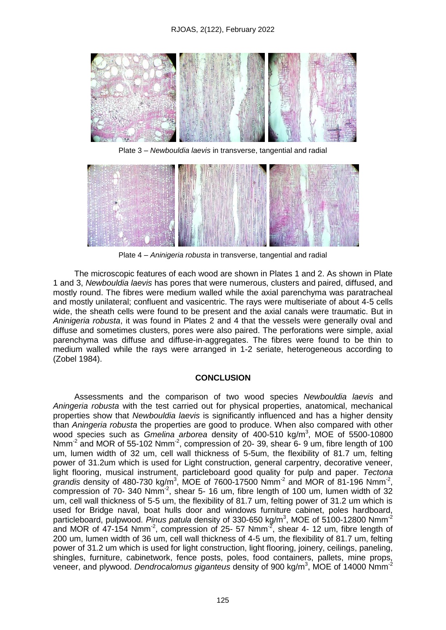

Plate 3 – *Newbouldia laevis* in transverse, tangential and radial



Plate 4 – *Aninigeria robusta* in transverse, tangential and radial

The microscopic features of each wood are shown in Plates 1 and 2. As shown in Plate 1 and 3, *Newbouldia laevis* has pores that were numerous, clusters and paired, diffused, and mostly round. The fibres were medium walled while the axial parenchyma was paratracheal and mostly unilateral; confluent and vasicentric. The rays were multiseriate of about 4-5 cells wide, the sheath cells were found to be present and the axial canals were traumatic. But in *Aninigeria robusta*, it was found in Plates 2 and 4 that the vessels were generally oval and diffuse and sometimes clusters, pores were also paired. The perforations were simple, axial parenchyma was diffuse and diffuse-in-aggregates. The fibres were found to be thin to medium walled while the rays were arranged in 1-2 seriate, heterogeneous according to (Zobel 1984).

### **CONCLUSION**

Assessments and the comparison of two wood species *Newbouldia laevis* and *Aningeria robusta* with the test carried out for physical properties, anatomical, mechanical properties show that *Newbouldia laevis* is significantly influenced and has a higher density than *Aningeria robusta* the properties are good to produce. When also compared with other wood species such as *Gmelina arborea* density of 400-510 kg/m<sup>3</sup> , MOE of 5500-10800 Nmm<sup>-2</sup> and MOR of 55-102 Nmm<sup>-2</sup>, compression of 20- 39, shear 6- 9 um, fibre length of 100 um, lumen width of 32 um, cell wall thickness of 5-5um, the flexibility of 81.7 um, felting power of 31.2um which is used for Light construction, general carpentry, decorative veneer, light flooring, musical instrument, particleboard good quality for pulp and paper. *Tectona*  grandis density of 480-730 kg/m<sup>3</sup>, MOE of 7600-17500  $Nmm^{-2}$  and MOR of 81-196  $Nmm^{-2}$ ,  $compression of 70-340 Nmm<sup>-2</sup>, shear 5-16 um, fibre length of 100 um, lumen width of 32$ um, cell wall thickness of 5-5 um, the flexibility of 81.7 um, felting power of 31.2 um which is used for Bridge naval, boat hulls door and windows furniture cabinet, poles hardboard, particleboard, pulpwood. *Pinus patula* density of 330-650 kg/m<sup>3</sup>, MOE of 5100-12800 Nmm<sup>-2</sup> and MOR of 47-154 Nmm<sup>-2</sup>, compression of 25- 57 Nmm<sup>-2</sup>, shear 4- 12 um, fibre length of 200 um, lumen width of 36 um, cell wall thickness of 4-5 um, the flexibility of 81.7 um, felting power of 31.2 um which is used for light construction, light flooring, joinery, ceilings, paneling, shingles, furniture, cabinetwork, fence posts, poles, food containers, pallets, mine props, veneer, and plywood. *Dendrocalomus giganteus* density of 900 kg/m<sup>3</sup>, MOE of 14000 Nmm<sup>-2</sup>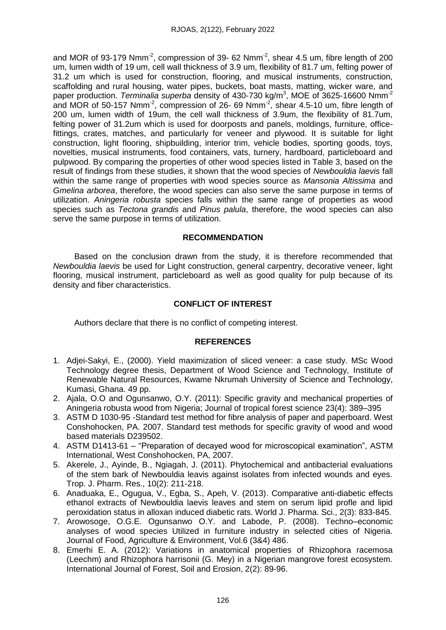and MOR of 93-179 Nmm<sup>-2</sup>, compression of 39- 62 Nmm<sup>-2</sup>, shear 4.5 um, fibre length of 200 um, lumen width of 19 um, cell wall thickness of 3.9 um, flexibility of 81.7 um, felting power of 31.2 um which is used for construction, flooring, and musical instruments, construction, scaffolding and rural housing, water pipes, buckets, boat masts, matting, wicker ware, and paper production. *Terminalia superba* density of 430-730 kg/m<sup>3</sup>, MOE of 3625-16600 Nmm<sup>-2</sup> and MOR of 50-157 Nmm<sup>-2</sup>, compression of 26- 69 Nmm<sup>-2</sup>, shear 4.5-10 um, fibre length of 200 um, lumen width of 19um, the cell wall thickness of 3.9um, the flexibility of 81.7um, felting power of 31.2um which is used for doorposts and panels, moldings, furniture, officefittings, crates, matches, and particularly for veneer and plywood. It is suitable for light construction, light flooring, shipbuilding, interior trim, vehicle bodies, sporting goods, toys, novelties, musical instruments, food containers, vats, turnery, hardboard, particleboard and pulpwood. By comparing the properties of other wood species listed in Table 3, based on the result of findings from these studies, it shown that the wood species of *Newbouldia laevis* fall within the same range of properties with wood species source as *Mansonia Altissima* and *Gmelina arborea*, therefore, the wood species can also serve the same purpose in terms of utilization. *Aningeria robusta* species falls within the same range of properties as wood species such as *Tectona grandis* and *Pinus palula*, therefore, the wood species can also serve the same purpose in terms of utilization.

# **RECOMMENDATION**

Based on the conclusion drawn from the study, it is therefore recommended that *Newbouldia laevis* be used for Light construction, general carpentry, decorative veneer, light flooring, musical instrument, particleboard as well as good quality for pulp because of its density and fiber characteristics.

# **CONFLICT OF INTEREST**

Authors declare that there is no conflict of competing interest.

# **REFERENCES**

- 1. Adjei-Sakyi, E., (2000). Yield maximization of sliced veneer: a case study. MSc Wood Technology degree thesis, Department of Wood Science and Technology, Institute of Renewable Natural Resources, Kwame Nkrumah University of Science and Technology, Kumasi, Ghana. 49 pp.
- 2. Ajala, O.O and Ogunsanwo, O.Y. (2011): Specific gravity and mechanical properties of Aningeria robusta wood from Nigeria; Journal of tropical forest science 23(4): 389–395
- 3. ASTM D 1030-95 -Standard test method for fibre analysis of paper and paperboard. West Conshohocken, PA. 2007. Standard test methods for specific gravity of wood and wood based materials D239502.
- 4. ASTM D1413-61 "Preparation of decayed wood for microscopical examination", ASTM International, West Conshohocken, PA, 2007.
- 5. Akerele, J., Ayinde, B., Ngiagah, J. (2011). Phytochemical and antibacterial evaluations of the stem bark of Newbouldia leavis against isolates from infected wounds and eyes. Trop. J. Pharm. Res., 10(2): 211-218.
- 6. Anaduaka, E., Ogugua, V., Egba, S., Apeh, V. (2013). Comparative anti-diabetic effects ethanol extracts of Newbouldia laevis leaves and stem on serum lipid profle and lipid peroxidation status in alloxan induced diabetic rats. World J. Pharma. Sci., 2(3): 833-845.
- 7. Arowosoge, O.G.E. Ogunsanwo O.Y. and Labode, P. (2008). Techno–economic analyses of wood species Utilized in furniture industry in selected cities of Nigeria. Journal of Food, Agriculture & Environment, Vol.6 (3&4) 486.
- 8. Emerhi E. A. (2012): Variations in anatomical properties of Rhizophora racemosa (Leechm) and Rhizophora harrisonii (G. Mey) in a Nigerian mangrove forest ecosystem. International Journal of Forest, Soil and Erosion, 2(2): 89-96.